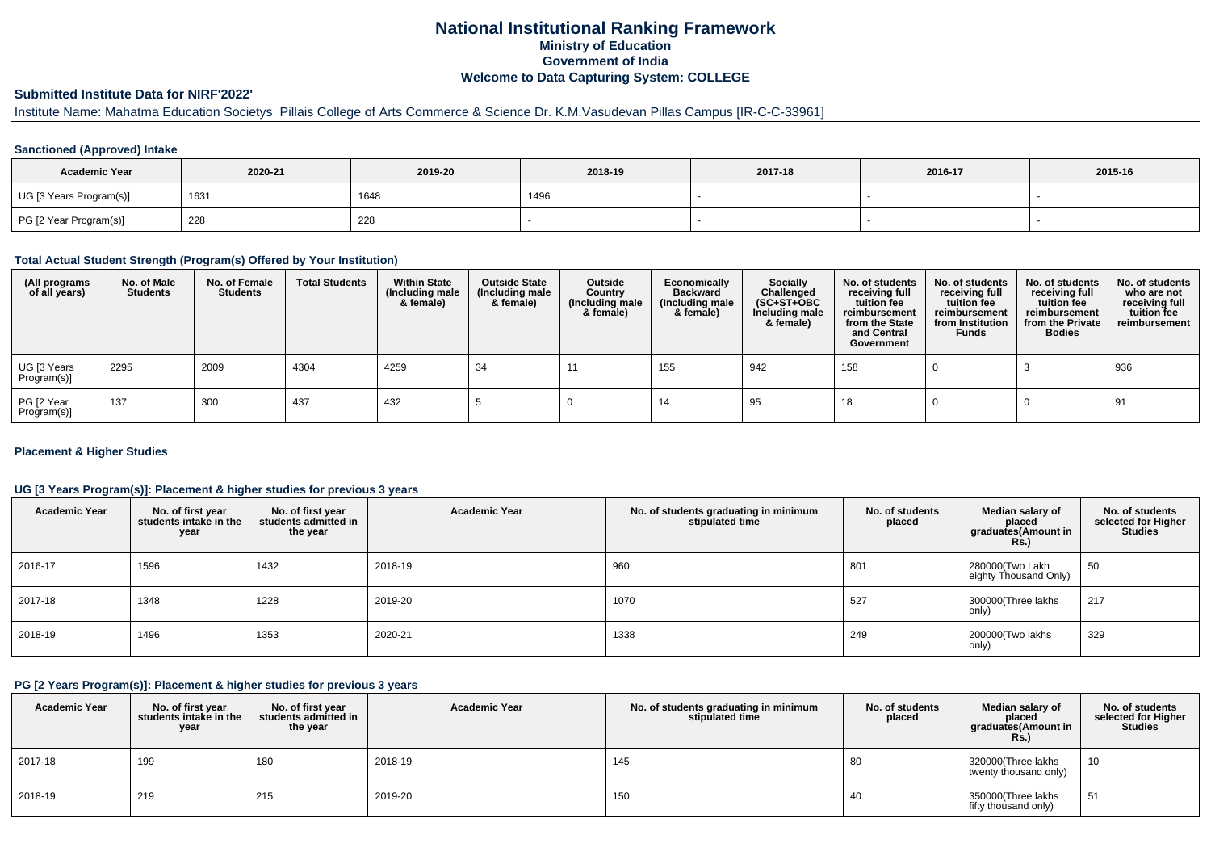## **National Institutional Ranking FrameworkMinistry of Education Government of IndiaWelcome to Data Capturing System: COLLEGE**

# **Submitted Institute Data for NIRF'2022'**

# Institute Name: Mahatma Education Societys Pillais College of Arts Commerce & Science Dr. K.M.Vasudevan Pillas Campus [IR-C-C-33961]

### **Sanctioned (Approved) Intake**

| <b>Academic Year</b>    | 2020-21 | 2019-20 | 2018-19 | 2017-18 | 2016-17 | 2015-16 |
|-------------------------|---------|---------|---------|---------|---------|---------|
| UG [3 Years Program(s)] | 1631    | 1648    | 1496    |         |         |         |
| PG [2 Year Program(s)]  | 228     | 228     |         |         |         |         |

#### **Total Actual Student Strength (Program(s) Offered by Your Institution)**

| (All programs<br>of all years) | No. of Male<br>Students | No. of Female<br><b>Students</b> | <b>Total Students</b> | <b>Within State</b><br>(Including male<br>& female) | <b>Outside State</b><br>(Including male<br>& female) | Outside<br>Country<br>(Including male<br>& female) | Economically<br><b>Backward</b><br>(Including male<br>& female) | <b>Socially</b><br>Challenged<br>$(SC+ST+OBC)$<br>Including male<br>& female) | No. of students<br>receiving full<br>tuition fee<br>reimbursement<br>from the State<br>and Central<br>Government | No. of students<br>receiving full<br>tuition fee<br>reimbursement<br>from Institution<br><b>Funds</b> | No. of students<br>receiving full<br>tuition fee<br>reimbursement<br>from the Private<br><b>Bodies</b> | No. of students<br>who are not<br>receiving full<br>tuition fee<br>reimbursement |
|--------------------------------|-------------------------|----------------------------------|-----------------------|-----------------------------------------------------|------------------------------------------------------|----------------------------------------------------|-----------------------------------------------------------------|-------------------------------------------------------------------------------|------------------------------------------------------------------------------------------------------------------|-------------------------------------------------------------------------------------------------------|--------------------------------------------------------------------------------------------------------|----------------------------------------------------------------------------------|
| UG [3 Years<br>Program(s)]     | 2295                    | 2009                             | 4304                  | 4259                                                | -34                                                  | -11                                                | 155                                                             | 942                                                                           | 158                                                                                                              |                                                                                                       |                                                                                                        | 936                                                                              |
| PG [2 Year<br>Program(s)       | 137                     | 300                              | 437                   | 432                                                 |                                                      |                                                    | 14                                                              | 95                                                                            | 18                                                                                                               |                                                                                                       |                                                                                                        | 91                                                                               |

### **Placement & Higher Studies**

### **UG [3 Years Program(s)]: Placement & higher studies for previous 3 years**

| <b>Academic Year</b> | No. of first year<br>students intake in the<br>year | No. of first year<br>students admitted in<br>the year | <b>Academic Year</b> | No. of students graduating in minimum<br>stipulated time | No. of students<br>placed | Median salary of<br>placed<br>graduates(Amount in<br><b>Rs.)</b> | No. of students<br>selected for Higher<br><b>Studies</b> |
|----------------------|-----------------------------------------------------|-------------------------------------------------------|----------------------|----------------------------------------------------------|---------------------------|------------------------------------------------------------------|----------------------------------------------------------|
| 2016-17              | 1596                                                | 1432                                                  | 2018-19              | 960                                                      | 801                       | 280000(Two Lakh<br>eighty Thousand Only)                         | 50                                                       |
| 2017-18              | 1348                                                | 1228                                                  | 2019-20              | 1070                                                     | 527                       | 300000(Three lakhs<br>only)                                      | 217                                                      |
| 2018-19              | 1496                                                | 1353                                                  | 2020-21              | 1338                                                     | 249                       | 200000(Two lakhs<br>only)                                        | 329                                                      |

#### **PG [2 Years Program(s)]: Placement & higher studies for previous 3 years**

| <b>Academic Year</b> | No. of first year<br>students intake in the<br>year | No. of first vear<br>students admitted in<br>the year | <b>Academic Year</b> | No. of students graduating in minimum<br>stipulated time | No. of students<br>placed | Median salary of<br>placed<br>graduates(Amount in<br><b>Rs.)</b> | No. of students<br>selected for Higher<br><b>Studies</b> |
|----------------------|-----------------------------------------------------|-------------------------------------------------------|----------------------|----------------------------------------------------------|---------------------------|------------------------------------------------------------------|----------------------------------------------------------|
| 2017-18              | 199                                                 | 180                                                   | 2018-19              | 145                                                      | 80                        | 320000(Three lakhs<br>twenty thousand only)                      | 10                                                       |
| 2018-19              | 219                                                 | 215                                                   | 2019-20              | 150                                                      | 40                        | 350000(Three lakhs<br>fifty thousand only)                       | 51                                                       |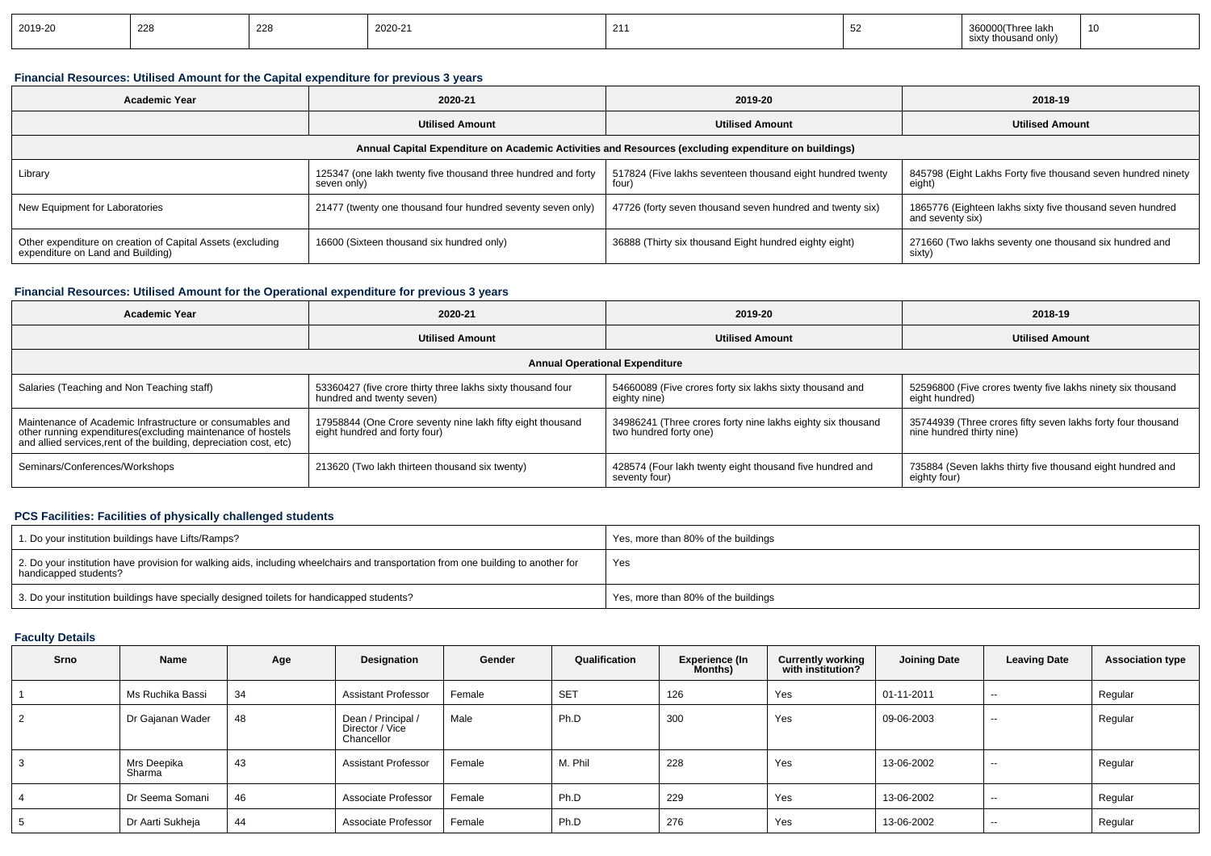| 2019-20 | 228 | 228 | 2020-21 | 211<br>$\sim$ 1 |  | ∍ laki<br>.id only).<br><b>SIXT</b> | 10 |
|---------|-----|-----|---------|-----------------|--|-------------------------------------|----|
|---------|-----|-----|---------|-----------------|--|-------------------------------------|----|

### **Financial Resources: Utilised Amount for the Capital expenditure for previous 3 years**

| <b>Academic Year</b>                                                                            | 2020-21                                                                      | 2019-20                                                                                              | 2018-19                                                                       |  |  |
|-------------------------------------------------------------------------------------------------|------------------------------------------------------------------------------|------------------------------------------------------------------------------------------------------|-------------------------------------------------------------------------------|--|--|
|                                                                                                 | <b>Utilised Amount</b>                                                       | <b>Utilised Amount</b>                                                                               | <b>Utilised Amount</b>                                                        |  |  |
|                                                                                                 |                                                                              | Annual Capital Expenditure on Academic Activities and Resources (excluding expenditure on buildings) |                                                                               |  |  |
| Library                                                                                         | 125347 (one lakh twenty five thousand three hundred and forty<br>seven only) | 517824 (Five lakhs seventeen thousand eight hundred twenty<br>four)                                  | 845798 (Eight Lakhs Forty five thousand seven hundred ninety<br>eight)        |  |  |
| New Equipment for Laboratories                                                                  | 21477 (twenty one thousand four hundred seventy seven only)                  | 47726 (forty seven thousand seven hundred and twenty six)                                            | 1865776 (Eighteen lakhs sixty five thousand seven hundred<br>and seventy six) |  |  |
| Other expenditure on creation of Capital Assets (excluding<br>expenditure on Land and Building) | 16600 (Sixteen thousand six hundred only)                                    | 36888 (Thirty six thousand Eight hundred eighty eight)                                               | 271660 (Two lakhs seventy one thousand six hundred and<br>sixty)              |  |  |

### **Financial Resources: Utilised Amount for the Operational expenditure for previous 3 years**

| Academic Year                                                                                                                                                                                   | 2020-21                                                                                     | 2019-20                                                                               | 2018-19                                                                                   |  |  |  |  |  |  |
|-------------------------------------------------------------------------------------------------------------------------------------------------------------------------------------------------|---------------------------------------------------------------------------------------------|---------------------------------------------------------------------------------------|-------------------------------------------------------------------------------------------|--|--|--|--|--|--|
|                                                                                                                                                                                                 | <b>Utilised Amount</b>                                                                      |                                                                                       | <b>Utilised Amount</b>                                                                    |  |  |  |  |  |  |
| <b>Annual Operational Expenditure</b>                                                                                                                                                           |                                                                                             |                                                                                       |                                                                                           |  |  |  |  |  |  |
| Salaries (Teaching and Non Teaching staff)                                                                                                                                                      | 53360427 (five crore thirty three lakhs sixty thousand four<br>hundred and twenty seven)    | 54660089 (Five crores forty six lakhs sixty thousand and<br>eighty nine)              | 52596800 (Five crores twenty five lakhs ninety six thousand<br>eight hundred)             |  |  |  |  |  |  |
| Maintenance of Academic Infrastructure or consumables and<br>other running expenditures (excluding maintenance of hostels<br>and allied services, rent of the building, depreciation cost, etc) | 17958844 (One Crore seventy nine lakh fifty eight thousand<br>eight hundred and forty four) | 34986241 (Three crores forty nine lakhs eighty six thousand<br>two hundred forty one) | 35744939 (Three crores fifty seven lakhs forty four thousand<br>nine hundred thirty nine) |  |  |  |  |  |  |
| Seminars/Conferences/Workshops                                                                                                                                                                  | 213620 (Two lakh thirteen thousand six twenty)                                              | 428574 (Four lakh twenty eight thousand five hundred and<br>seventy four)             | 735884 (Seven lakhs thirty five thousand eight hundred and<br>eighty four)                |  |  |  |  |  |  |

### **PCS Facilities: Facilities of physically challenged students**

| 1. Do your institution buildings have Lifts/Ramps?                                                                                                         | Yes, more than 80% of the buildings |
|------------------------------------------------------------------------------------------------------------------------------------------------------------|-------------------------------------|
| 2. Do your institution have provision for walking aids, including wheelchairs and transportation from one building to another for<br>handicapped students? | Yes                                 |
| 3. Do your institution buildings have specially designed toilets for handicapped students?                                                                 | Yes, more than 80% of the buildings |

### **Faculty Details**

| Srno           | Name                  | Age | Designation                                         | Gender | Qualification | Experience (In<br>Months) | <b>Currently working</b><br>with institution? | <b>Joining Date</b> | <b>Leaving Date</b>      | <b>Association type</b> |
|----------------|-----------------------|-----|-----------------------------------------------------|--------|---------------|---------------------------|-----------------------------------------------|---------------------|--------------------------|-------------------------|
|                | Ms Ruchika Bassi      | 34  | <b>Assistant Professor</b>                          | Female | <b>SET</b>    | 126                       | Yes                                           | 01-11-2011          | $\sim$                   | Regular                 |
| $\overline{2}$ | Dr Gajanan Wader      | 48  | Dean / Principal /<br>Director / Vice<br>Chancellor | Male   | Ph.D          | 300                       | Yes                                           | 09-06-2003          | $- -$                    | Regular                 |
| 3              | Mrs Deepika<br>Sharma | 43  | <b>Assistant Professor</b>                          | Female | M. Phil       | 228                       | Yes                                           | 13-06-2002          | $\sim$                   | Regular                 |
| 4              | Dr Seema Somani       | 46  | Associate Professor                                 | Female | Ph.D          | 229                       | Yes                                           | 13-06-2002          | $- -$                    | Regular                 |
| 5              | Dr Aarti Sukheja      | 44  | Associate Professor                                 | Female | Ph.D          | 276                       | Yes                                           | 13-06-2002          | $\overline{\phantom{a}}$ | Regular                 |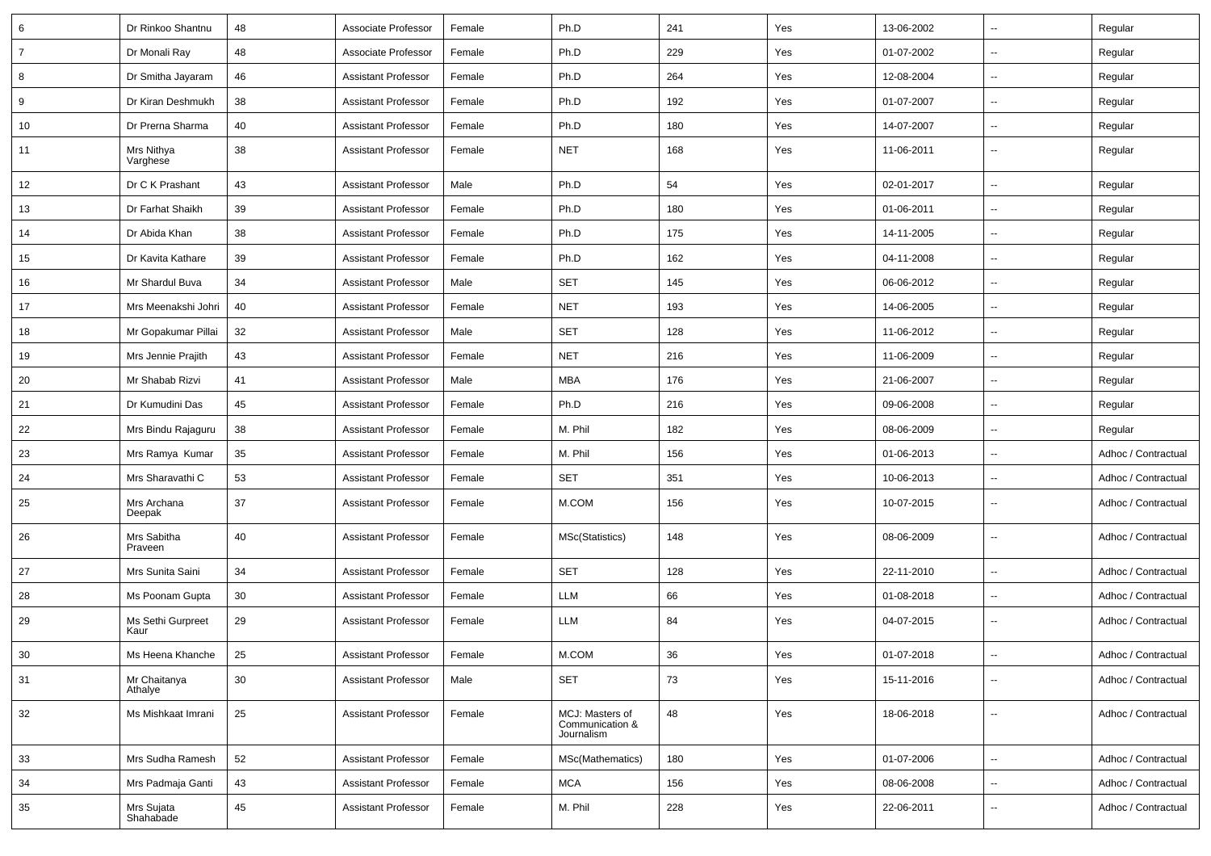| 6              | Dr Rinkoo Shantnu         | 48 | Associate Professor        | Female | Ph.D                                             | 241 | Yes | 13-06-2002 | $\overline{\phantom{a}}$ | Regular             |
|----------------|---------------------------|----|----------------------------|--------|--------------------------------------------------|-----|-----|------------|--------------------------|---------------------|
| $\overline{7}$ | Dr Monali Ray             | 48 | Associate Professor        | Female | Ph.D                                             | 229 | Yes | 01-07-2002 | $\overline{\phantom{a}}$ | Regular             |
| 8              | Dr Smitha Jayaram         | 46 | <b>Assistant Professor</b> | Female | Ph.D                                             | 264 | Yes | 12-08-2004 | $\overline{\phantom{a}}$ | Regular             |
| 9              | Dr Kiran Deshmukh         | 38 | <b>Assistant Professor</b> | Female | Ph.D                                             | 192 | Yes | 01-07-2007 | --                       | Regular             |
| 10             | Dr Prerna Sharma          | 40 | <b>Assistant Professor</b> | Female | Ph.D                                             | 180 | Yes | 14-07-2007 | $\overline{\phantom{a}}$ | Regular             |
| 11             | Mrs Nithya<br>Varghese    | 38 | <b>Assistant Professor</b> | Female | <b>NET</b>                                       | 168 | Yes | 11-06-2011 | Ξ.                       | Regular             |
| 12             | Dr C K Prashant           | 43 | <b>Assistant Professor</b> | Male   | Ph.D                                             | 54  | Yes | 02-01-2017 | Ξ.                       | Regular             |
| 13             | Dr Farhat Shaikh          | 39 | <b>Assistant Professor</b> | Female | Ph.D                                             | 180 | Yes | 01-06-2011 | $\overline{\phantom{a}}$ | Regular             |
| 14             | Dr Abida Khan             | 38 | <b>Assistant Professor</b> | Female | Ph.D                                             | 175 | Yes | 14-11-2005 | $\overline{\phantom{a}}$ | Regular             |
| 15             | Dr Kavita Kathare         | 39 | <b>Assistant Professor</b> | Female | Ph.D                                             | 162 | Yes | 04-11-2008 | $\overline{\phantom{a}}$ | Regular             |
| 16             | Mr Shardul Buva           | 34 | <b>Assistant Professor</b> | Male   | <b>SET</b>                                       | 145 | Yes | 06-06-2012 | --                       | Regular             |
| 17             | Mrs Meenakshi Johri       | 40 | Assistant Professor        | Female | <b>NET</b>                                       | 193 | Yes | 14-06-2005 | $\overline{\phantom{a}}$ | Regular             |
| 18             | Mr Gopakumar Pillai       | 32 | <b>Assistant Professor</b> | Male   | <b>SET</b>                                       | 128 | Yes | 11-06-2012 | Ξ.                       | Regular             |
| 19             | Mrs Jennie Prajith        | 43 | <b>Assistant Professor</b> | Female | <b>NET</b>                                       | 216 | Yes | 11-06-2009 | $\overline{\phantom{a}}$ | Regular             |
| 20             | Mr Shabab Rizvi           | 41 | <b>Assistant Professor</b> | Male   | <b>MBA</b>                                       | 176 | Yes | 21-06-2007 | $\overline{\phantom{a}}$ | Regular             |
| 21             | Dr Kumudini Das           | 45 | <b>Assistant Professor</b> | Female | Ph.D                                             | 216 | Yes | 09-06-2008 | $\overline{\phantom{a}}$ | Regular             |
| 22             | Mrs Bindu Rajaguru        | 38 | <b>Assistant Professor</b> | Female | M. Phil                                          | 182 | Yes | 08-06-2009 | --                       | Regular             |
| 23             | Mrs Ramya Kumar           | 35 | <b>Assistant Professor</b> | Female | M. Phil                                          | 156 | Yes | 01-06-2013 | $\overline{\phantom{a}}$ | Adhoc / Contractual |
| 24             | Mrs Sharavathi C          | 53 | <b>Assistant Professor</b> | Female | <b>SET</b>                                       | 351 | Yes | 10-06-2013 | Ξ.                       | Adhoc / Contractual |
| 25             | Mrs Archana<br>Deepak     | 37 | <b>Assistant Professor</b> | Female | M.COM                                            | 156 | Yes | 10-07-2015 | --                       | Adhoc / Contractual |
| 26             | Mrs Sabitha<br>Praveen    | 40 | <b>Assistant Professor</b> | Female | MSc(Statistics)                                  | 148 | Yes | 08-06-2009 | --                       | Adhoc / Contractual |
| 27             | Mrs Sunita Saini          | 34 | <b>Assistant Professor</b> | Female | <b>SET</b>                                       | 128 | Yes | 22-11-2010 | Ξ.                       | Adhoc / Contractual |
| 28             | Ms Poonam Gupta           | 30 | <b>Assistant Professor</b> | Female | LLM                                              | 66  | Yes | 01-08-2018 | $\overline{\phantom{a}}$ | Adhoc / Contractual |
| 29             | Ms Sethi Gurpreet<br>Kaur | 29 | <b>Assistant Professor</b> | Female | LLM                                              | 84  | Yes | 04-07-2015 | $\overline{\phantom{a}}$ | Adhoc / Contractual |
| 30             | Ms Heena Khanche          | 25 | <b>Assistant Professor</b> | Female | M.COM                                            | 36  | Yes | 01-07-2018 | $\sim$                   | Adhoc / Contractual |
| 31             | Mr Chaitanya<br>Athalye   | 30 | <b>Assistant Professor</b> | Male   | <b>SET</b>                                       | 73  | Yes | 15-11-2016 | $\overline{\phantom{a}}$ | Adhoc / Contractual |
| 32             | Ms Mishkaat Imrani        | 25 | <b>Assistant Professor</b> | Female | MCJ: Masters of<br>Communication &<br>Journalism | 48  | Yes | 18-06-2018 | $\overline{\phantom{a}}$ | Adhoc / Contractual |
| 33             | Mrs Sudha Ramesh          | 52 | <b>Assistant Professor</b> | Female | MSc(Mathematics)                                 | 180 | Yes | 01-07-2006 | Ц.                       | Adhoc / Contractual |
| 34             | Mrs Padmaja Ganti         | 43 | <b>Assistant Professor</b> | Female | <b>MCA</b>                                       | 156 | Yes | 08-06-2008 | $\overline{\phantom{a}}$ | Adhoc / Contractual |
| 35             | Mrs Sujata<br>Shahabade   | 45 | <b>Assistant Professor</b> | Female | M. Phil                                          | 228 | Yes | 22-06-2011 | $\overline{\phantom{a}}$ | Adhoc / Contractual |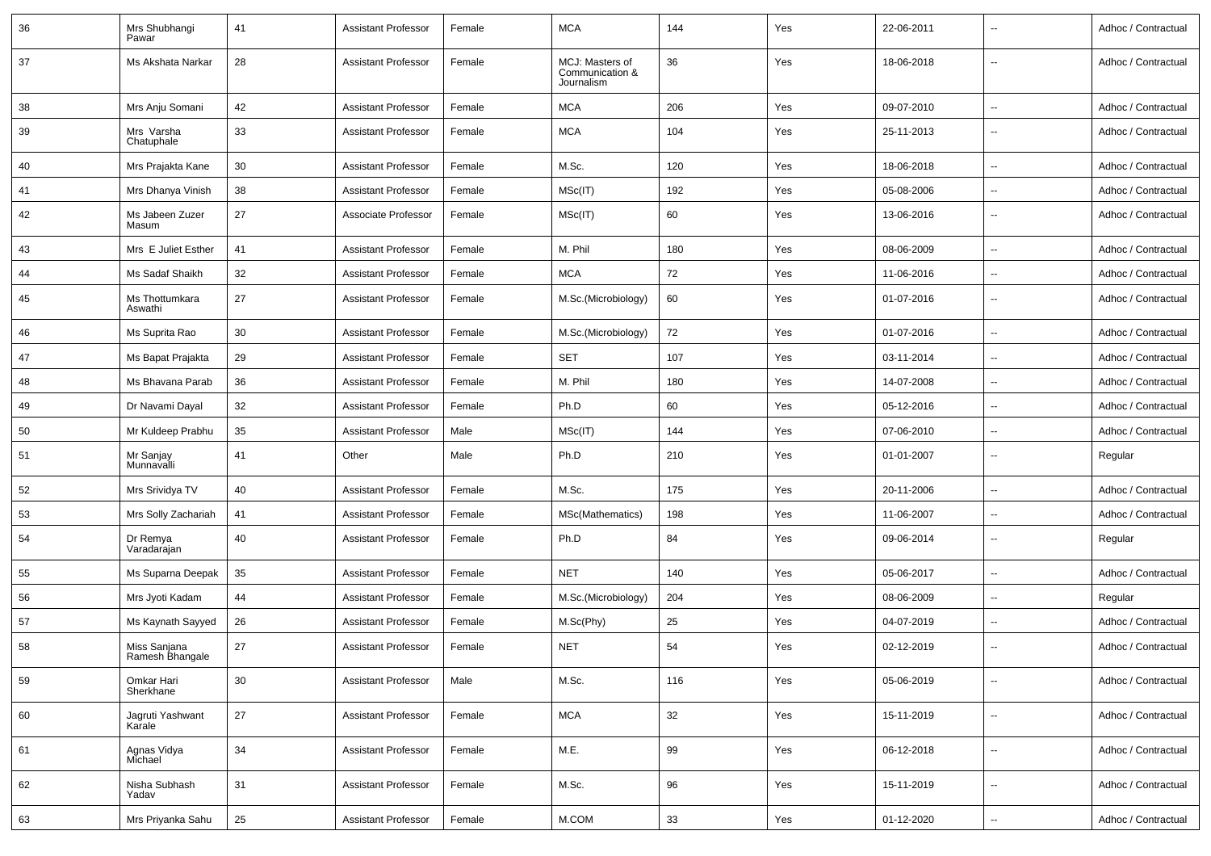| 36 | Mrs Shubhangi<br>Pawar          | 41 | <b>Assistant Professor</b> | Female | <b>MCA</b>                                       | 144 | Yes | 22-06-2011 |                          | Adhoc / Contractual |
|----|---------------------------------|----|----------------------------|--------|--------------------------------------------------|-----|-----|------------|--------------------------|---------------------|
| 37 | Ms Akshata Narkar               | 28 | <b>Assistant Professor</b> | Female | MCJ: Masters of<br>Communication &<br>Journalism | 36  | Yes | 18-06-2018 | --                       | Adhoc / Contractual |
| 38 | Mrs Anju Somani                 | 42 | Assistant Professor        | Female | <b>MCA</b>                                       | 206 | Yes | 09-07-2010 | $\overline{\phantom{a}}$ | Adhoc / Contractual |
| 39 | Mrs Varsha<br>Chatuphale        | 33 | <b>Assistant Professor</b> | Female | <b>MCA</b>                                       | 104 | Yes | 25-11-2013 | --                       | Adhoc / Contractual |
| 40 | Mrs Prajakta Kane               | 30 | <b>Assistant Professor</b> | Female | M.Sc.                                            | 120 | Yes | 18-06-2018 | $\overline{\phantom{a}}$ | Adhoc / Contractual |
| 41 | Mrs Dhanya Vinish               | 38 | Assistant Professor        | Female | MSc(IT)                                          | 192 | Yes | 05-08-2006 | $\overline{\phantom{a}}$ | Adhoc / Contractual |
| 42 | Ms Jabeen Zuzer<br>Masum        | 27 | Associate Professor        | Female | MSc(IT)                                          | 60  | Yes | 13-06-2016 | --                       | Adhoc / Contractual |
| 43 | Mrs E Juliet Esther             | 41 | <b>Assistant Professor</b> | Female | M. Phil                                          | 180 | Yes | 08-06-2009 | $\overline{\phantom{a}}$ | Adhoc / Contractual |
| 44 | Ms Sadaf Shaikh                 | 32 | <b>Assistant Professor</b> | Female | <b>MCA</b>                                       | 72  | Yes | 11-06-2016 | $\overline{\phantom{a}}$ | Adhoc / Contractual |
| 45 | Ms Thottumkara<br>Aswathi       | 27 | <b>Assistant Professor</b> | Female | M.Sc.(Microbiology)                              | 60  | Yes | 01-07-2016 | --                       | Adhoc / Contractual |
| 46 | Ms Suprita Rao                  | 30 | <b>Assistant Professor</b> | Female | M.Sc.(Microbiology)                              | 72  | Yes | 01-07-2016 | --                       | Adhoc / Contractual |
| 47 | Ms Bapat Prajakta               | 29 | <b>Assistant Professor</b> | Female | <b>SET</b>                                       | 107 | Yes | 03-11-2014 | --                       | Adhoc / Contractual |
| 48 | Ms Bhavana Parab                | 36 | <b>Assistant Professor</b> | Female | M. Phil                                          | 180 | Yes | 14-07-2008 | --                       | Adhoc / Contractual |
| 49 | Dr Navami Dayal                 | 32 | Assistant Professor        | Female | Ph.D                                             | 60  | Yes | 05-12-2016 | $\overline{\phantom{a}}$ | Adhoc / Contractual |
| 50 | Mr Kuldeep Prabhu               | 35 | <b>Assistant Professor</b> | Male   | MSc(IT)                                          | 144 | Yes | 07-06-2010 | $\overline{\phantom{a}}$ | Adhoc / Contractual |
| 51 | Mr Sanjay<br>Munnavalli         | 41 | Other                      | Male   | Ph.D                                             | 210 | Yes | 01-01-2007 | $\overline{\phantom{a}}$ | Regular             |
| 52 | Mrs Srividya TV                 | 40 | <b>Assistant Professor</b> | Female | M.Sc.                                            | 175 | Yes | 20-11-2006 | $\overline{\phantom{a}}$ | Adhoc / Contractual |
| 53 | Mrs Solly Zachariah             | 41 | <b>Assistant Professor</b> | Female | MSc(Mathematics)                                 | 198 | Yes | 11-06-2007 | $\overline{\phantom{a}}$ | Adhoc / Contractual |
| 54 | Dr Remya<br>Varadarajan         | 40 | <b>Assistant Professor</b> | Female | Ph.D                                             | 84  | Yes | 09-06-2014 | $\overline{\phantom{a}}$ | Regular             |
| 55 | Ms Suparna Deepak               | 35 | Assistant Professor        | Female | <b>NET</b>                                       | 140 | Yes | 05-06-2017 | $\overline{\phantom{a}}$ | Adhoc / Contractual |
| 56 | Mrs Jyoti Kadam                 | 44 | Assistant Professor        | Female | M.Sc.(Microbiology)                              | 204 | Yes | 08-06-2009 | $\overline{\phantom{a}}$ | Regular             |
| 57 | Ms Kaynath Sayyed               | 26 | <b>Assistant Professor</b> | Female | M.Sc(Phy)                                        | 25  | Yes | 04-07-2019 | $\overline{\phantom{a}}$ | Adhoc / Contractual |
| 58 | Miss Sanjana<br>Ramesh Bhangale | 27 | <b>Assistant Professor</b> | Female | <b>NET</b>                                       | 54  | Yes | 02-12-2019 | $\overline{\phantom{a}}$ | Adhoc / Contractual |
| 59 | Omkar Hari<br>Sherkhane         | 30 | <b>Assistant Professor</b> | Male   | M.Sc.                                            | 116 | Yes | 05-06-2019 | $\overline{\phantom{a}}$ | Adhoc / Contractual |
| 60 | Jagruti Yashwant<br>Karale      | 27 | <b>Assistant Professor</b> | Female | <b>MCA</b>                                       | 32  | Yes | 15-11-2019 | $\overline{\phantom{a}}$ | Adhoc / Contractual |
| 61 | Agnas Vidya<br>Michael          | 34 | <b>Assistant Professor</b> | Female | M.E.                                             | 99  | Yes | 06-12-2018 | $\overline{\phantom{a}}$ | Adhoc / Contractual |
| 62 | Nisha Subhash<br>Yadav          | 31 | <b>Assistant Professor</b> | Female | M.Sc.                                            | 96  | Yes | 15-11-2019 | $\overline{\phantom{a}}$ | Adhoc / Contractual |
| 63 | Mrs Priyanka Sahu               | 25 | <b>Assistant Professor</b> | Female | M.COM                                            | 33  | Yes | 01-12-2020 | $\overline{\phantom{a}}$ | Adhoc / Contractual |